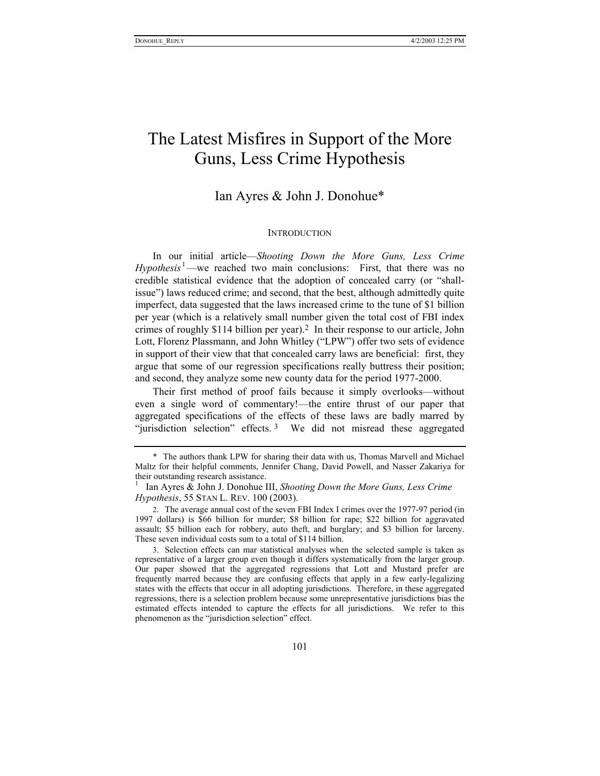# The Latest Misfires in Support of the More Guns, Less Crime Hypothesis

# Ian Ayres & John J. Donohue[\\*](#page-0-0)

#### **INTRODUCTION**

In our initial article—*Shooting Down the More Guns, Less Crime*  Hypothesis<sup>[1](#page-0-1)</sup>—we reached two main conclusions: First, that there was no credible statistical evidence that the adoption of concealed carry (or "shallissue") laws reduced crime; and second, that the best, although admittedly quite imperfect, data suggested that the laws increased crime to the tune of \$1 billion per year (which is a relatively small number given the total cost of FBI index crimes of roughly \$114 billion per year)[.2](#page-0-2) In their response to our article, John Lott, Florenz Plassmann, and John Whitley ("LPW") offer two sets of evidence in support of their view that that concealed carry laws are beneficial: first, they argue that some of our regression specifications really buttress their position; and second, they analyze some new county data for the period 1977-2000.

Their first method of proof fails because it simply overlooks—without even a single word of commentary!—the entire thrust of our paper that aggregated specifications of the effects of these laws are badly marred by "jurisdiction selection" effects.<sup>3</sup> We did not misread these aggregated

<span id="page-0-3"></span>3. Selection effects can mar statistical analyses when the selected sample is taken as representative of a larger group even though it differs systematically from the larger group. Our paper showed that the aggregated regressions that Lott and Mustard prefer are frequently marred because they are confusing effects that apply in a few early-legalizing states with the effects that occur in all adopting jurisdictions. Therefore, in these aggregated regressions, there is a selection problem because some unrepresentative jurisdictions bias the estimated effects intended to capture the effects for all jurisdictions. We refer to this phenomenon as the "jurisdiction selection" effect.

<span id="page-0-0"></span><sup>\*</sup> The authors thank LPW for sharing their data with us, Thomas Marvell and Michael Maltz for their helpful comments, Jennifer Chang, David Powell, and Nasser Zakariya for their outstanding research assistance.

<span id="page-0-1"></span><sup>1</sup> Ian Ayres & John J. Donohue III, *Shooting Down the More Guns, Less Crime Hypothesis*, 55 STAN L. REV. 100 (2003).

<span id="page-0-2"></span><sup>2.</sup> The average annual cost of the seven FBI Index I crimes over the 1977-97 period (in 1997 dollars) is \$66 billion for murder; \$8 billion for rape; \$22 billion for aggravated assault; \$5 billion each for robbery, auto theft, and burglary; and \$3 billion for larceny. These seven individual costs sum to a total of \$114 billion.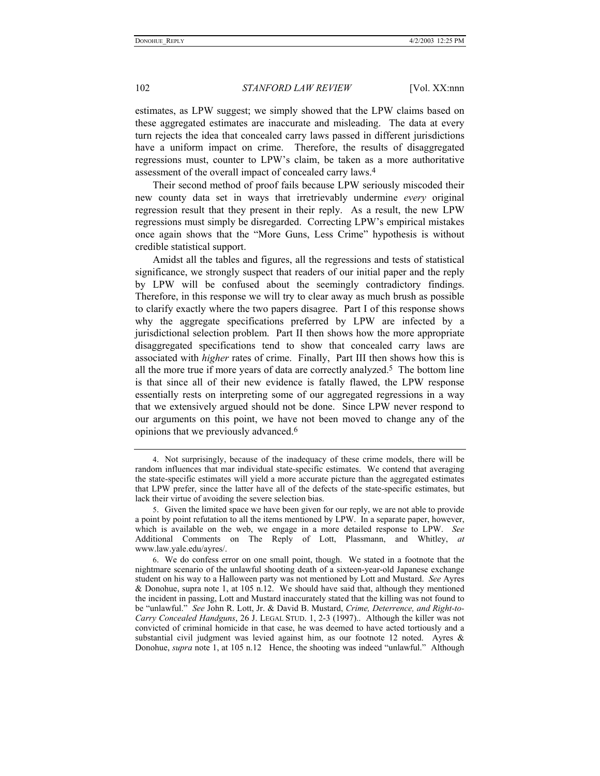estimates, as LPW suggest; we simply showed that the LPW claims based on these aggregated estimates are inaccurate and misleading. The data at every turn rejects the idea that concealed carry laws passed in different jurisdictions have a uniform impact on crime. Therefore, the results of disaggregated regressions must, counter to LPW's claim, be taken as a more authoritative assessment of the overall impact of concealed carry laws.[4](#page-1-0)

Their second method of proof fails because LPW seriously miscoded their new county data set in ways that irretrievably undermine *every* original regression result that they present in their reply. As a result, the new LPW regressions must simply be disregarded. Correcting LPW's empirical mistakes once again shows that the "More Guns, Less Crime" hypothesis is without credible statistical support.

Amidst all the tables and figures, all the regressions and tests of statistical significance, we strongly suspect that readers of our initial paper and the reply by LPW will be confused about the seemingly contradictory findings. Therefore, in this response we will try to clear away as much brush as possible to clarify exactly where the two papers disagree. Part I of this response shows why the aggregate specifications preferred by LPW are infected by a jurisdictional selection problem. Part II then shows how the more appropriate disaggregated specifications tend to show that concealed carry laws are associated with *higher* rates of crime. Finally, Part III then shows how this is all the more true if more years of data are correctly analyzed.<sup>5</sup> The bottom line is that since all of their new evidence is fatally flawed, the LPW response essentially rests on interpreting some of our aggregated regressions in a way that we extensively argued should not be done. Since LPW never respond to our arguments on this point, we have not been moved to change any of the opinions that we previously advanced[.6](#page-1-2)

<span id="page-1-2"></span>

<span id="page-1-0"></span><sup>4.</sup> Not surprisingly, because of the inadequacy of these crime models, there will be random influences that mar individual state-specific estimates. We contend that averaging the state-specific estimates will yield a more accurate picture than the aggregated estimates that LPW prefer, since the latter have all of the defects of the state-specific estimates, but lack their virtue of avoiding the severe selection bias.

<span id="page-1-1"></span><sup>5.</sup> Given the limited space we have been given for our reply, we are not able to provide a point by point refutation to all the items mentioned by LPW. In a separate paper, however, which is available on the web, we engage in a more detailed response to LPW. *See* Additional Comments on The Reply of Lott, Plassmann, and Whitley, *at*  www.law.yale.edu/ayres/.

<sup>6.</sup> We do confess error on one small point, though. We stated in a footnote that the nightmare scenario of the unlawful shooting death of a sixteen-year-old Japanese exchange student on his way to a Halloween party was not mentioned by Lott and Mustard. *See* Ayres & Donohue, supra note 1, at 105 n.12. We should have said that, although they mentioned the incident in passing, Lott and Mustard inaccurately stated that the killing was not found to be "unlawful." *See* John R. Lott, Jr. & David B. Mustard, *Crime, Deterrence, and Right-to-Carry Concealed Handguns*, 26 J. LEGAL STUD. 1, 2-3 (1997).. Although the killer was not convicted of criminal homicide in that case, he was deemed to have acted tortiously and a substantial civil judgment was levied against him, as our footnote 12 noted. Ayres & Donohue, *supra* note 1, at 105 n.12 Hence, the shooting was indeed "unlawful." Although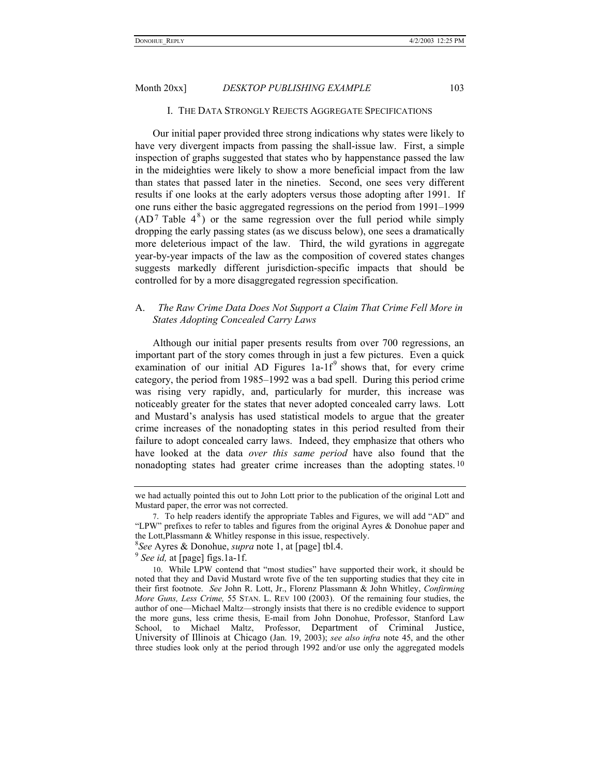#### I. THE DATA STRONGLY REJECTS AGGREGATE SPECIFICATIONS

<span id="page-2-3"></span>Our initial paper provided three strong indications why states were likely to have very divergent impacts from passing the shall-issue law. First, a simple inspection of graphs suggested that states who by happenstance passed the law in the mideighties were likely to show a more beneficial impact from the law than states that passed later in the nineties. Second, one sees very different results if one looks at the early adopters versus those adopting after 1991. If one runs either the basic aggregated regressions on the period from 1991–1999  $(AD<sup>7</sup>$  Table  $4<sup>8</sup>$  $4<sup>8</sup>$  $4<sup>8</sup>$ ) or the same regression over the full period while simply dropping the early passing states (as we discuss below), one sees a dramatically more deleterious impact of the law. Third, the wild gyrations in aggregate year-by-year impacts of the law as the composition of covered states changes suggests markedly different jurisdiction-specific impacts that should be controlled for by a more disaggregated regression specification.

### A. *The Raw Crime Data Does Not Support a Claim That Crime Fell More in States Adopting Concealed Carry Laws*

Although our initial paper presents results from over 700 regressions, an important part of the story comes through in just a few pictures. Even a quick examination of our initial AD Figures  $1a-1f^9$  $1a-1f^9$  shows that, for every crime category, the period from 1985–1992 was a bad spell. During this period crime was rising very rapidly, and, particularly for murder, this increase was noticeably greater for the states that never adopted concealed carry laws. Lott and Mustard's analysis has used statistical models to argue that the greater crime increases of the nonadopting states in this period resulted from their failure to adopt concealed carry laws. Indeed, they emphasize that others who have looked at the data *over this same period* have also found that the nonadopting states had greater crime increases than the adopting states.<sup>10</sup>

<span id="page-2-2"></span>

we had actually pointed this out to John Lott prior to the publication of the original Lott and Mustard paper, the error was not corrected.

<span id="page-2-0"></span><sup>7.</sup> To help readers identify the appropriate Tables and Figures, we will add "AD" and "LPW" prefixes to refer to tables and figures from the original Ayres & Donohue paper and the Lott,Plassmann & Whitley response in this issue, respectively.

<span id="page-2-1"></span><sup>8</sup> *See* Ayres & Donohue, *supra* note 1, at [page] tbl.4. <sup>9</sup> *See id,* at [page] figs.1a-1f.

<sup>10.</sup> While LPW contend that "most studies" have supported their work, it should be noted that they and David Mustard wrote five of the ten supporting studies that they cite in their first footnote. *See* John R. Lott, Jr., Florenz Plassmann & John Whitley, *Confirming More Guns, Less Crime,* 55 STAN. L. REV 100 (2003). Of the remaining four studies, the author of one—Michael Maltz—strongly insists that there is no credible evidence to support the more guns, less crime thesis, E-mail from John Donohue, Professor, Stanford Law School, to Michael Maltz, Professor, Department of Criminal Justice, University of Illinois at Chicago (Jan. 19, 2003); *see also infra* note 45, and the other three studies look only at the period through 1992 and/or use only the aggregated models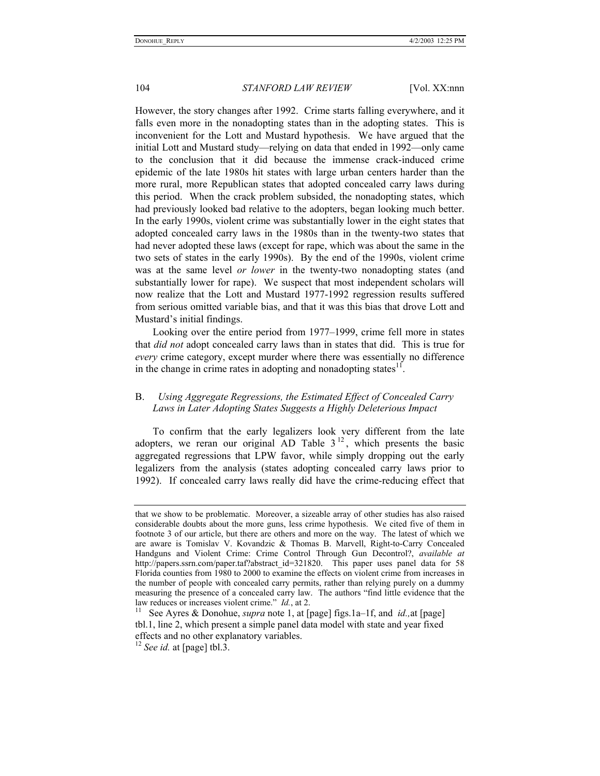However, the story changes after 1992. Crime starts falling everywhere, and it falls even more in the nonadopting states than in the adopting states. This is inconvenient for the Lott and Mustard hypothesis. We have argued that the initial Lott and Mustard study—relying on data that ended in 1992—only came to the conclusion that it did because the immense crack-induced crime epidemic of the late 1980s hit states with large urban centers harder than the more rural, more Republican states that adopted concealed carry laws during this period. When the crack problem subsided, the nonadopting states, which had previously looked bad relative to the adopters, began looking much better. In the early 1990s, violent crime was substantially lower in the eight states that adopted concealed carry laws in the 1980s than in the twenty-two states that had never adopted these laws (except for rape, which was about the same in the two sets of states in the early 1990s). By the end of the 1990s, violent crime was at the same level *or lower* in the twenty-two nonadopting states (and substantially lower for rape). We suspect that most independent scholars will now realize that the Lott and Mustard 1977-1992 regression results suffered from serious omitted variable bias, and that it was this bias that drove Lott and Mustard's initial findings.

Looking over the entire period from 1977–1999, crime fell more in states that *did not* adopt concealed carry laws than in states that did. This is true for *every* crime category, except murder where there was essentially no difference in the change in crime rates in adopting and nonadopting states $11$ .

## B. *Using Aggregate Regressions, the Estimated Effect of Concealed Carry Laws in Later Adopting States Suggests a Highly Deleterious Impact*

To confirm that the early legalizers look very different from the late adopters, we reran our original AD Table  $3<sup>12</sup>$  $3<sup>12</sup>$  $3<sup>12</sup>$ , which presents the basic aggregated regressions that LPW favor, while simply dropping out the early legalizers from the analysis (states adopting concealed carry laws prior to 1992). If concealed carry laws really did have the crime-reducing effect that

that we show to be problematic. Moreover, a sizeable array of other studies has also raised considerable doubts about the more guns, less crime hypothesis. We cited five of them in footnote 3 of our article, but there are others and more on the way. The latest of which we are aware is Tomislav V. Kovandzic & Thomas B. Marvell, Right-to-Carry Concealed Handguns and Violent Crime: Crime Control Through Gun Decontrol?, *available at* http://papers.ssrn.com/paper.taf?abstract\_id=321820. This paper uses panel data for 58 Florida counties from 1980 to 2000 to examine the effects on violent crime from increases in the number of people with concealed carry permits, rather than relying purely on a dummy measuring the presence of a concealed carry law. The authors "find little evidence that the law reduces or increases violent crime."  $Id$ , at 2.

<span id="page-3-0"></span><sup>&</sup>lt;sup>11</sup> See Ayres & Donohue, *supra* note 1, at [page] figs.1a–1f, and *id.*,at [page] tbl.1, line 2, which present a simple panel data model with state and year fixed effects and no other explanatory variables.

<span id="page-3-1"></span><sup>12</sup> *See id.* at [page] tbl.3.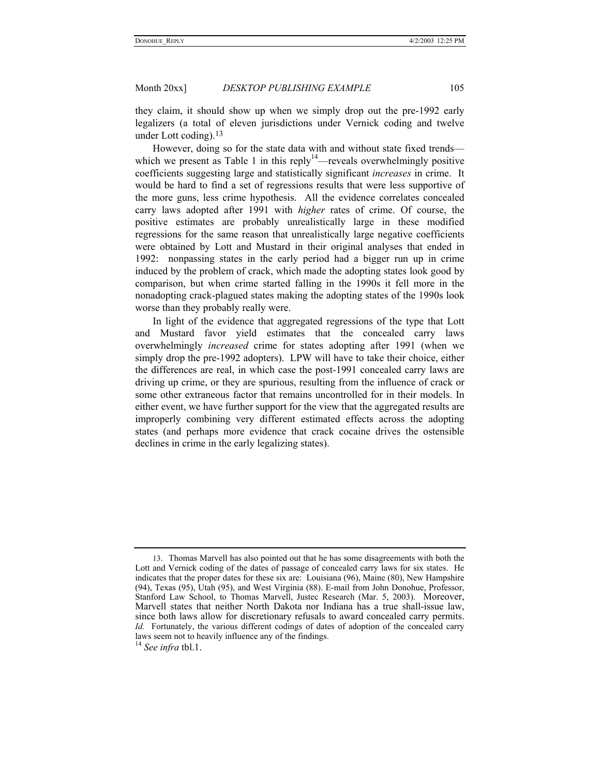they claim, it should show up when we simply drop out the pre-1992 early legalizers (a total of eleven jurisdictions under Vernick coding and twelve under Lott coding).[13](#page-4-0)

However, doing so for the state data with and without state fixed trends which we present as Table 1 in this reply<sup>14</sup>—reveals overwhelmingly positive coefficients suggesting large and statistically significant *increases* in crime. It would be hard to find a set of regressions results that were less supportive of the more guns, less crime hypothesis. All the evidence correlates concealed carry laws adopted after 1991 with *higher* rates of crime. Of course, the positive estimates are probably unrealistically large in these modified regressions for the same reason that unrealistically large negative coefficients were obtained by Lott and Mustard in their original analyses that ended in 1992: nonpassing states in the early period had a bigger run up in crime induced by the problem of crack, which made the adopting states look good by comparison, but when crime started falling in the 1990s it fell more in the nonadopting crack-plagued states making the adopting states of the 1990s look worse than they probably really were.

In light of the evidence that aggregated regressions of the type that Lott and Mustard favor yield estimates that the concealed carry laws overwhelmingly *increased* crime for states adopting after 1991 (when we simply drop the pre-1992 adopters). LPW will have to take their choice, either the differences are real, in which case the post-1991 concealed carry laws are driving up crime, or they are spurious, resulting from the influence of crack or some other extraneous factor that remains uncontrolled for in their models. In either event, we have further support for the view that the aggregated results are improperly combining very different estimated effects across the adopting states (and perhaps more evidence that crack cocaine drives the ostensible declines in crime in the early legalizing states).

<span id="page-4-0"></span><sup>13.</sup> Thomas Marvell has also pointed out that he has some disagreements with both the Lott and Vernick coding of the dates of passage of concealed carry laws for six states. He indicates that the proper dates for these six are: Louisiana (96), Maine (80), New Hampshire (94), Texas (95), Utah (95), and West Virginia (88). E-mail from John Donohue, Professor, Stanford Law School, to Thomas Marvell, Justec Research (Mar. 5, 2003). Moreover, Marvell states that neither North Dakota nor Indiana has a true shall-issue law, since both laws allow for discretionary refusals to award concealed carry permits. *Id.* Fortunately, the various different codings of dates of adoption of the concealed carry laws seem not to heavily influence any of the findings. 14 *See infra* tbl.1.

<span id="page-4-1"></span>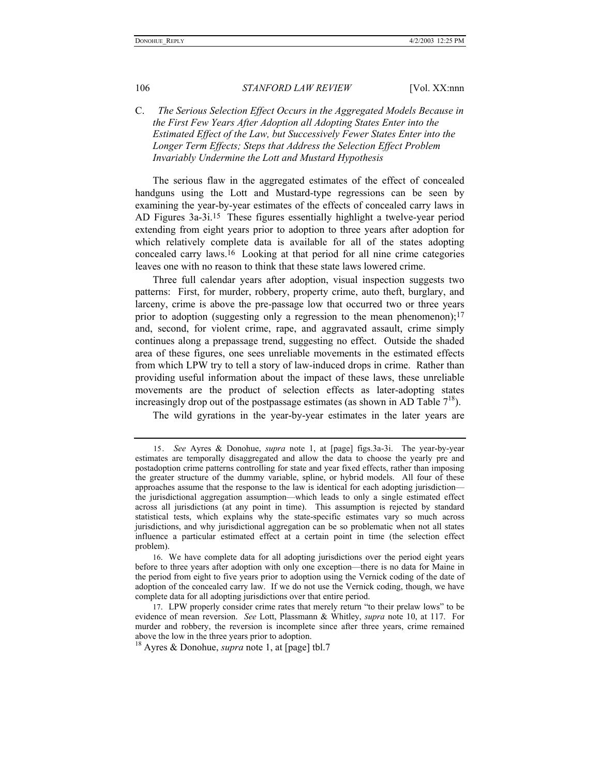C. *The Serious Selection Effect Occurs in the Aggregated Models Because in the First Few Years After Adoption all Adopting States Enter into the Estimated Effect of the Law, but Successively Fewer States Enter into the Longer Term Effects; Steps that Address the Selection Effect Problem Invariably Undermine the Lott and Mustard Hypothesis*

The serious flaw in the aggregated estimates of the effect of concealed handguns using the Lott and Mustard-type regressions can be seen by examining the year-by-year estimates of the effects of concealed carry laws in AD Figures 3a-3i[.15](#page-5-0) These figures essentially highlight a twelve-year period extending from eight years prior to adoption to three years after adoption for which relatively complete data is available for all of the states adopting concealed carry laws.[16](#page-5-1) Looking at that period for all nine crime categories leaves one with no reason to think that these state laws lowered crime.

Three full calendar years after adoption, visual inspection suggests two patterns: First, for murder, robbery, property crime, auto theft, burglary, and larceny, crime is above the pre-passage low that occurred two or three years prior to adoption (suggesting only a regression to the mean phenomenon);<sup>17</sup> and, second, for violent crime, rape, and aggravated assault, crime simply continues along a prepassage trend, suggesting no effect. Outside the shaded area of these figures, one sees unreliable movements in the estimated effects from which LPW try to tell a story of law-induced drops in crime. Rather than providing useful information about the impact of these laws, these unreliable movements are the product of selection effects as later-adopting states increasingly drop out of the postpassage estimates (as shown in AD Table  $7^{18}$ ).

The wild gyrations in the year-by-year estimates in the later years are

<span id="page-5-0"></span><sup>15.</sup> *See* Ayres & Donohue, *supra* note 1, at [page] figs.3a-3i. The year-by-year estimates are temporally disaggregated and allow the data to choose the yearly pre and postadoption crime patterns controlling for state and year fixed effects, rather than imposing the greater structure of the dummy variable, spline, or hybrid models. All four of these approaches assume that the response to the law is identical for each adopting jurisdiction the jurisdictional aggregation assumption—which leads to only a single estimated effect across all jurisdictions (at any point in time). This assumption is rejected by standard statistical tests, which explains why the state-specific estimates vary so much across jurisdictions, and why jurisdictional aggregation can be so problematic when not all states influence a particular estimated effect at a certain point in time (the selection effect problem).

<span id="page-5-1"></span><sup>16.</sup> We have complete data for all adopting jurisdictions over the period eight years before to three years after adoption with only one exception—there is no data for Maine in the period from eight to five years prior to adoption using the Vernick coding of the date of adoption of the concealed carry law. If we do not use the Vernick coding, though, we have complete data for all adopting jurisdictions over that entire period.

<span id="page-5-2"></span><sup>17.</sup> LPW properly consider crime rates that merely return "to their prelaw lows" to be evidence of mean reversion. *See* Lott, Plassmann & Whitley, *supra* note 10, at 117. For murder and robbery, the reversion is incomplete since after three years, crime remained above the low in the three years prior to adoption.

<span id="page-5-3"></span><sup>18</sup> Ayres & Donohue, *supra* note 1, at [page] tbl.7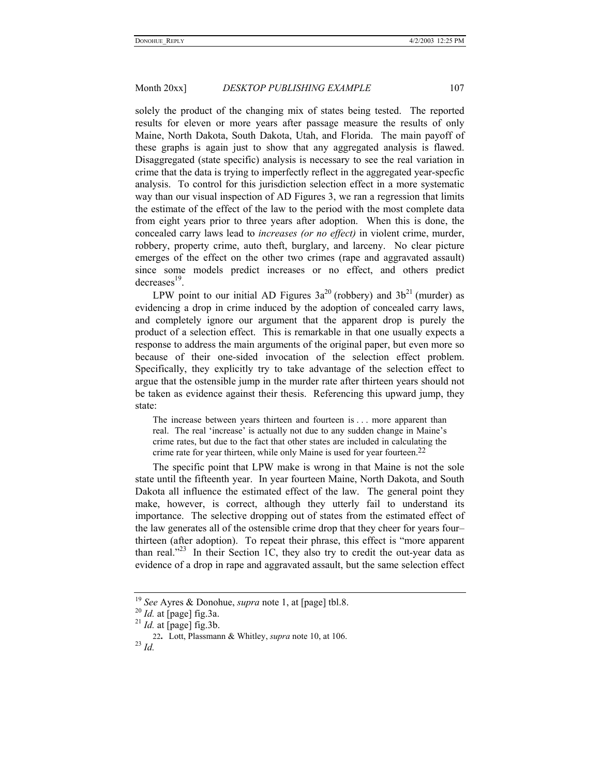solely the product of the changing mix of states being tested. The reported results for eleven or more years after passage measure the results of only Maine, North Dakota, South Dakota, Utah, and Florida. The main payoff of these graphs is again just to show that any aggregated analysis is flawed. Disaggregated (state specific) analysis is necessary to see the real variation in crime that the data is trying to imperfectly reflect in the aggregated year-specfic analysis. To control for this jurisdiction selection effect in a more systematic way than our visual inspection of AD Figures 3, we ran a regression that limits the estimate of the effect of the law to the period with the most complete data from eight years prior to three years after adoption. When this is done, the concealed carry laws lead to *increases (or no effect)* in violent crime, murder, robbery, property crime, auto theft, burglary, and larceny. No clear picture emerges of the effect on the other two crimes (rape and aggravated assault) since some models predict increases or no effect, and others predict  $decreases<sup>19</sup>$ .

LPW point to our initial AD Figures  $3a^{20}$  (robbery) and  $3b^{21}$  (murder) as evidencing a drop in crime induced by the adoption of concealed carry laws, and completely ignore our argument that the apparent drop is purely the product of a selection effect. This is remarkable in that one usually expects a response to address the main arguments of the original paper, but even more so because of their one-sided invocation of the selection effect problem. Specifically, they explicitly try to take advantage of the selection effect to argue that the ostensible jump in the murder rate after thirteen years should not be taken as evidence against their thesis. Referencing this upward jump, they state:

The increase between years thirteen and fourteen is . . . more apparent than real. The real 'increase' is actually not due to any sudden change in Maine's crime rates, but due to the fact that other states are included in calculating the crime rate for year thirteen, while only Maine is used for year fourteen.<sup>[22](#page-6-3)</sup>

The specific point that LPW make is wrong in that Maine is not the sole state until the fifteenth year. In year fourteen Maine, North Dakota, and South Dakota all influence the estimated effect of the law. The general point they make, however, is correct, although they utterly fail to understand its importance. The selective dropping out of states from the estimated effect of the law generates all of the ostensible crime drop that they cheer for years four– thirteen (after adoption). To repeat their phrase, this effect is "more apparent than real." $23$  In their Section 1C, they also try to credit the out-year data as evidence of a drop in rape and aggravated assault, but the same selection effect

<span id="page-6-0"></span><sup>19</sup> *See* Ayres & Donohue, *supra* note 1, at [page] tbl.8. 20 *Id.* at [page] fig.3a. 21 *Id.* at [page] fig.3b.

<span id="page-6-1"></span>

<span id="page-6-2"></span>

<span id="page-6-4"></span><span id="page-6-3"></span><sup>22</sup>**.** Lott, Plassmann & Whitley, *supra* note 10, at 106. 23 *Id.*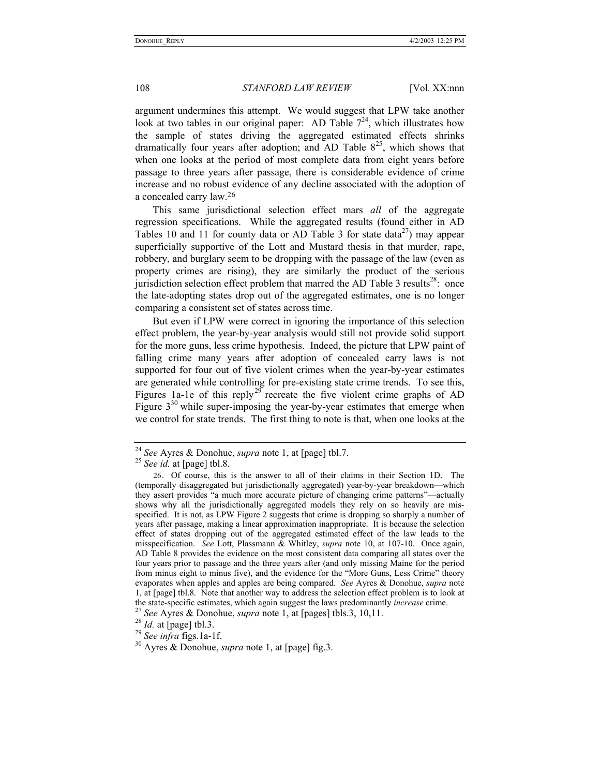argument undermines this attempt. We would suggest that LPW take another look at two tables in our original paper: AD Table  $7^{24}$ , which illustrates how the sample of states driving the aggregated estimated effects shrinks dramatically four years after adoption; and AD Table  $8^{25}$ , which shows that when one looks at the period of most complete data from eight years before passage to three years after passage, there is considerable evidence of crime increase and no robust evidence of any decline associated with the adoption of a concealed carry law[.26](#page-7-2)

This same jurisdictional selection effect mars *all* of the aggregate regression specifications. While the aggregated results (found either in AD Tables 10 and 11 for county data or AD Table 3 for state data<sup>27</sup>) may appear superficially supportive of the Lott and Mustard thesis in that murder, rape, robbery, and burglary seem to be dropping with the passage of the law (even as property crimes are rising), they are similarly the product of the serious jurisdiction selection effect problem that marred the AD Table 3 results<sup>28</sup>: once the late-adopting states drop out of the aggregated estimates, one is no longer comparing a consistent set of states across time.

But even if LPW were correct in ignoring the importance of this selection effect problem, the year-by-year analysis would still not provide solid support for the more guns, less crime hypothesis. Indeed, the picture that LPW paint of falling crime many years after adoption of concealed carry laws is not supported for four out of five violent crimes when the year-by-year estimates are generated while controlling for pre-existing state crime trends. To see this, Figures 1a-1e of this reply<sup>29</sup> recreate the five violent crime graphs of AD Figure  $3^{30}$  while super-imposing the year-by-year estimates that emerge when we control for state trends. The first thing to note is that, when one looks at the

<span id="page-7-4"></span>

<span id="page-7-5"></span>

<span id="page-7-0"></span><sup>24</sup> *See* Ayres & Donohue, *supra* note 1, at [page] tbl.7. 25 *See id.* at [page] tbl.8.

<span id="page-7-1"></span>

<span id="page-7-2"></span><sup>26.</sup> Of course, this is the answer to all of their claims in their Section 1D. The (temporally disaggregated but jurisdictionally aggregated) year-by-year breakdown—which they assert provides "a much more accurate picture of changing crime patterns"—actually shows why all the jurisdictionally aggregated models they rely on so heavily are misspecified. It is not, as LPW Figure 2 suggests that crime is dropping so sharply a number of years after passage, making a linear approximation inappropriate. It is because the selection effect of states dropping out of the aggregated estimated effect of the law leads to the misspecification. *See* Lott, Plassmann & Whitley, *supra* note 10, at 107-10. Once again, AD Table 8 provides the evidence on the most consistent data comparing all states over the four years prior to passage and the three years after (and only missing Maine for the period from minus eight to minus five), and the evidence for the "More Guns, Less Crime" theory evaporates when apples and apples are being compared. *See* Ayres & Donohue, *supra* note 1, at [page] tbl.8. Note that another way to address the selection effect problem is to look at the state-specific estimates, which again suggest the laws predominantly *increase* crime.

<span id="page-7-3"></span><sup>&</sup>lt;sup>27</sup> See Ayres & Donohue, *supra* note 1, at [pages] tbls.3, 10,11.<br><sup>28</sup> *Id.* at [page] tbl.3.<br><sup>29</sup> See infra figs.1a-1f.<br><sup>30</sup> Ayres & Donohue, *supra* note 1, at [page] fig.3.

<span id="page-7-6"></span>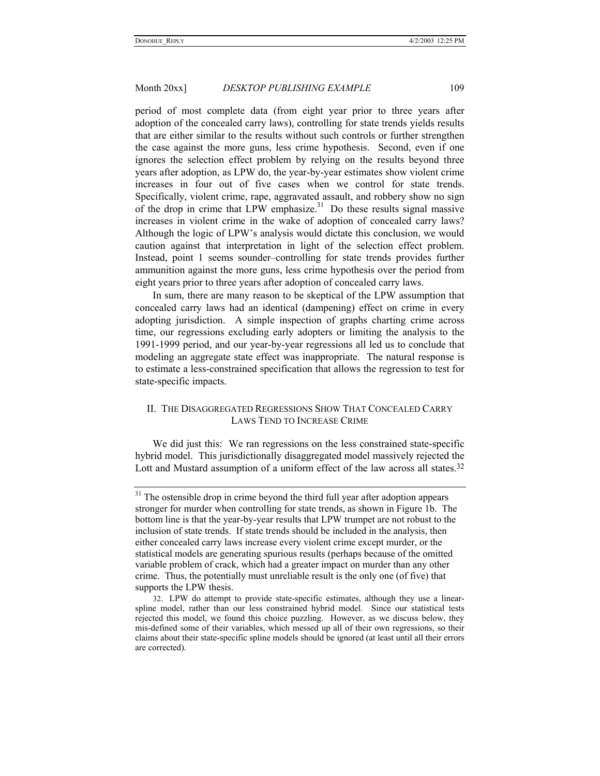period of most complete data (from eight year prior to three years after adoption of the concealed carry laws), controlling for state trends yields results that are either similar to the results without such controls or further strengthen the case against the more guns, less crime hypothesis. Second, even if one ignores the selection effect problem by relying on the results beyond three years after adoption, as LPW do, the year-by-year estimates show violent crime increases in four out of five cases when we control for state trends. Specifically, violent crime, rape, aggravated assault, and robbery show no sign of the drop in crime that LPW emphasize.<sup>31</sup> Do these results signal massive increases in violent crime in the wake of adoption of concealed carry laws? Although the logic of LPW's analysis would dictate this conclusion, we would caution against that interpretation in light of the selection effect problem. Instead, point 1 seems sounder–controlling for state trends provides further ammunition against the more guns, less crime hypothesis over the period from eight years prior to three years after adoption of concealed carry laws.

In sum, there are many reason to be skeptical of the LPW assumption that concealed carry laws had an identical (dampening) effect on crime in every adopting jurisdiction. A simple inspection of graphs charting crime across time, our regressions excluding early adopters or limiting the analysis to the 1991-1999 period, and our year-by-year regressions all led us to conclude that modeling an aggregate state effect was inappropriate. The natural response is to estimate a less-constrained specification that allows the regression to test for state-specific impacts.

### II. THE DISAGGREGATED REGRESSIONS SHOW THAT CONCEALED CARRY LAWS TEND TO INCREASE CRIME

We did just this: We ran regressions on the less constrained state-specific hybrid model. This jurisdictionally disaggregated model massively rejected the Lott and Mustard assumption of a uniform effect of the law across all states.<sup>32</sup>

<span id="page-8-0"></span> $31$  The ostensible drop in crime beyond the third full year after adoption appears stronger for murder when controlling for state trends, as shown in Figure 1b. The bottom line is that the year-by-year results that LPW trumpet are not robust to the inclusion of state trends. If state trends should be included in the analysis, then either concealed carry laws increase every violent crime except murder, or the statistical models are generating spurious results (perhaps because of the omitted variable problem of crack, which had a greater impact on murder than any other crime. Thus, the potentially must unreliable result is the only one (of five) that supports the LPW thesis.

<span id="page-8-1"></span><sup>32.</sup> LPW do attempt to provide state-specific estimates, although they use a linearspline model, rather than our less constrained hybrid model. Since our statistical tests rejected this model, we found this choice puzzling. However, as we discuss below, they mis-defined some of their variables, which messed up all of their own regressions, so their claims about their state-specific spline models should be ignored (at least until all their errors are corrected).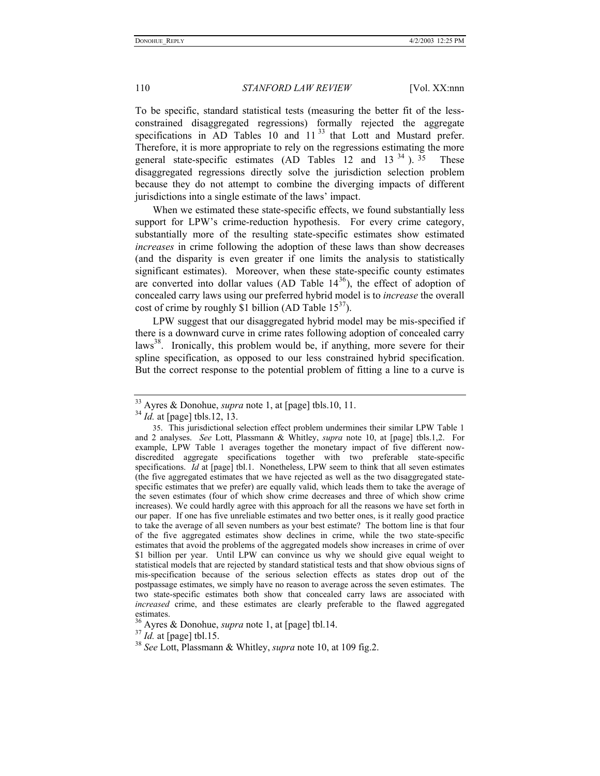To be specific, standard statistical tests (measuring the better fit of the lessconstrained disaggregated regressions) formally rejected the aggregate specifications in  $AD$  Tables 10 and  $11^{33}$  that Lott and Mustard prefer. Therefore, it is more appropriate to rely on the regressions estimating the more general state-specific estimates (AD Tables 12 and  $13^{34}$  $13^{34}$  $13^{34}$ ). [35](#page-9-2) These disaggregated regressions directly solve the jurisdiction selection problem because they do not attempt to combine the diverging impacts of different jurisdictions into a single estimate of the laws' impact.

When we estimated these state-specific effects, we found substantially less support for LPW's crime-reduction hypothesis. For every crime category, substantially more of the resulting state-specific estimates show estimated *increases* in crime following the adoption of these laws than show decreases (and the disparity is even greater if one limits the analysis to statistically significant estimates). Moreover, when these state-specific county estimates are converted into dollar values (AD Table  $14^{36}$ ), the effect of adoption of concealed carry laws using our preferred hybrid model is to *increase* the overall cost of crime by roughly \$1 billion (AD Table  $15^{37}$ ).

LPW suggest that our disaggregated hybrid model may be mis-specified if there is a downward curve in crime rates following adoption of concealed carry laws<sup>38</sup>. Ironically, this problem would be, if anything, more severe for their spline specification, as opposed to our less constrained hybrid specification. But the correct response to the potential problem of fitting a line to a curve is

<span id="page-9-5"></span><span id="page-9-4"></span>

<span id="page-9-0"></span><sup>33</sup> Ayres & Donohue, *supra* note 1, at [page] tbls.10, 11. 34 *Id.* at [page] tbls.12, 13.

<span id="page-9-1"></span>

<span id="page-9-2"></span><sup>35.</sup> This jurisdictional selection effect problem undermines their similar LPW Table 1 and 2 analyses. See Lott, Plassmann & Whitley, *supra* note 10, at [page] tbls.1,2. For example, LPW Table 1 averages together the monetary impact of five different nowdiscredited aggregate specifications together with two preferable state-specific specifications. *Id* at [page] tbl.1. Nonetheless, LPW seem to think that all seven estimates (the five aggregated estimates that we have rejected as well as the two disaggregated statespecific estimates that we prefer) are equally valid, which leads them to take the average of the seven estimates (four of which show crime decreases and three of which show crime increases). We could hardly agree with this approach for all the reasons we have set forth in our paper. If one has five unreliable estimates and two better ones, is it really good practice to take the average of all seven numbers as your best estimate? The bottom line is that four of the five aggregated estimates show declines in crime, while the two state-specific estimates that avoid the problems of the aggregated models show increases in crime of over \$1 billion per year. Until LPW can convince us why we should give equal weight to statistical models that are rejected by standard statistical tests and that show obvious signs of mis-specification because of the serious selection effects as states drop out of the postpassage estimates, we simply have no reason to average across the seven estimates. The two state-specific estimates both show that concealed carry laws are associated with *increased* crime, and these estimates are clearly preferable to the flawed aggregated estimates.<br><sup>36</sup> Ayres & Donohue, *supra* note 1, at [page] tbl.14.

<span id="page-9-3"></span>

<sup>&</sup>lt;sup>37</sup> Id. at [page] tbl.15.<br><sup>38</sup> *See* Lott, Plassmann & Whitley, *supra* note 10, at 109 fig.2.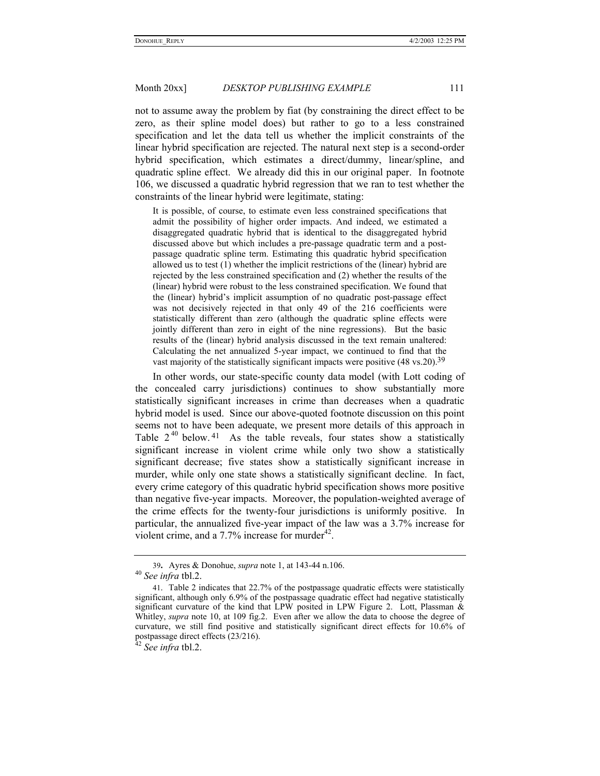not to assume away the problem by fiat (by constraining the direct effect to be zero, as their spline model does) but rather to go to a less constrained specification and let the data tell us whether the implicit constraints of the linear hybrid specification are rejected. The natural next step is a second-order hybrid specification, which estimates a direct/dummy, linear/spline, and quadratic spline effect. We already did this in our original paper. In footnote 106, we discussed a quadratic hybrid regression that we ran to test whether the constraints of the linear hybrid were legitimate, stating:

It is possible, of course, to estimate even less constrained specifications that admit the possibility of higher order impacts. And indeed, we estimated a disaggregated quadratic hybrid that is identical to the disaggregated hybrid discussed above but which includes a pre-passage quadratic term and a postpassage quadratic spline term. Estimating this quadratic hybrid specification allowed us to test (1) whether the implicit restrictions of the (linear) hybrid are rejected by the less constrained specification and (2) whether the results of the (linear) hybrid were robust to the less constrained specification. We found that the (linear) hybrid's implicit assumption of no quadratic post-passage effect was not decisively rejected in that only 49 of the 216 coefficients were statistically different than zero (although the quadratic spline effects were jointly different than zero in eight of the nine regressions). But the basic results of the (linear) hybrid analysis discussed in the text remain unaltered: Calculating the net annualized 5-year impact, we continued to find that the vast majority of the statistically significant impacts were positive (48 vs.20).<sup>[39](#page-10-0)</sup>

In other words, our state-specific county data model (with Lott coding of the concealed carry jurisdictions) continues to show substantially more statistically significant increases in crime than decreases when a quadratic hybrid model is used. Since our above-quoted footnote discussion on this point seems not to have been adequate, we present more details of this approach in Table  $2^{40}$  below. <sup>41</sup> As the table reveals, four states show a statistically significant increase in violent crime while only two show a statistically significant decrease; five states show a statistically significant increase in murder, while only one state shows a statistically significant decline. In fact, every crime category of this quadratic hybrid specification shows more positive than negative five-year impacts. Moreover, the population-weighted average of the crime effects for the twenty-four jurisdictions is uniformly positive. In particular, the annualized five-year impact of the law was a 3.7% increase for violent crime, and a  $7.7\%$  increase for murder<sup>42</sup>.

<span id="page-10-3"></span><sup>42</sup> *See infra* tbl.2.

<span id="page-10-1"></span><span id="page-10-0"></span><sup>39</sup>**.** Ayres & Donohue, *supra* note 1, at 143-44 n.106. 40 *See infra* tbl.2.

<span id="page-10-2"></span><sup>41.</sup> Table 2 indicates that 22.7% of the postpassage quadratic effects were statistically significant, although only 6.9% of the postpassage quadratic effect had negative statistically significant curvature of the kind that LPW posited in LPW Figure 2. Lott, Plassman & Whitley, *supra* note 10, at 109 fig.2. Even after we allow the data to choose the degree of curvature, we still find positive and statistically significant direct effects for 10.6% of postpassage direct effects (23/216).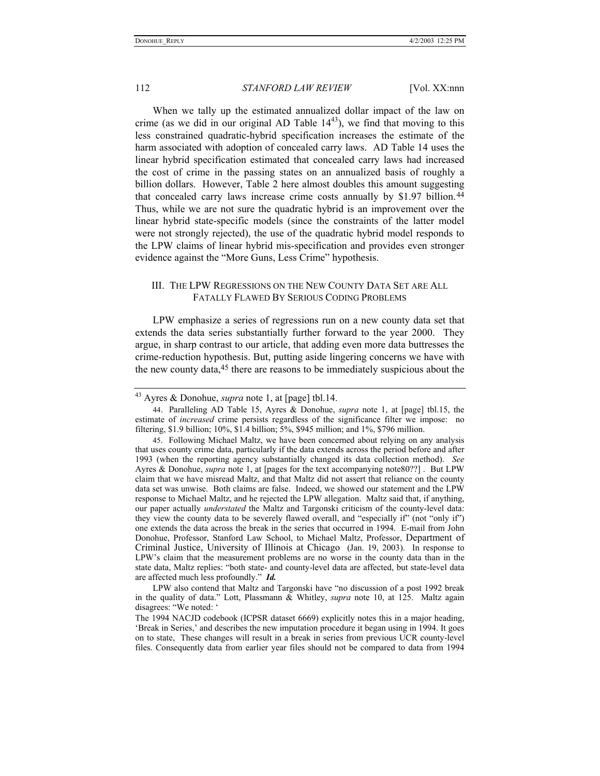<span id="page-11-2"></span>

When we tally up the estimated annualized dollar impact of the law on crime (as we did in our original AD Table  $14^{43}$ ), we find that moving to this less constrained quadratic-hybrid specification increases the estimate of the harm associated with adoption of concealed carry laws. AD Table 14 uses the linear hybrid specification estimated that concealed carry laws had increased the cost of crime in the passing states on an annualized basis of roughly a billion dollars. However, Table 2 here almost doubles this amount suggesting that concealed carry laws increase crime costs annually by \$1.97 billion.<sup>44</sup> Thus, while we are not sure the quadratic hybrid is an improvement over the linear hybrid state-specific models (since the constraints of the latter model were not strongly rejected), the use of the quadratic hybrid model responds to the LPW claims of linear hybrid mis-specification and provides even stronger evidence against the "More Guns, Less Crime" hypothesis.

### III. THE LPW REGRESSIONS ON THE NEW COUNTY DATA SET ARE ALL FATALLY FLAWED BY SERIOUS CODING PROBLEMS

LPW emphasize a series of regressions run on a new county data set that extends the data series substantially further forward to the year 2000. They argue, in sharp contrast to our article, that adding even more data buttresses the crime-reduction hypothesis. But, putting aside lingering concerns we have with the new county data,[45 t](#page-11-2)here are reasons to be immediately suspicious about the

<span id="page-11-0"></span><sup>43</sup> Ayres & Donohue, *supra* note 1, at [page] tbl.14.

<span id="page-11-1"></span><sup>44.</sup> Paralleling AD Table 15, Ayres & Donohue, *supra* note 1, at [page] tbl.15, the estimate of *increased* crime persists regardless of the significance filter we impose: no filtering, \$1.9 billion; 10%, \$1.4 billion; 5%, \$945 million; and 1%, \$796 million.

<sup>45.</sup> Following Michael Maltz, we have been concerned about relying on any analysis that uses county crime data, particularly if the data extends across the period before and after 1993 (when the reporting agency substantially changed its data collection method). *See* Ayres & Donohue, *supra* note 1, at [pages for the text accompanying note80??] . But LPW claim that we have misread Maltz, and that Maltz did not assert that reliance on the county data set was unwise. Both claims are false. Indeed, we showed our statement and the LPW response to Michael Maltz, and he rejected the LPW allegation. Maltz said that, if anything, our paper actually *understated* the Maltz and Targonski criticism of the county-level data: they view the county data to be severely flawed overall, and "especially if" (not "only if") one extends the data across the break in the series that occurred in 1994. E-mail from John Donohue, Professor, Stanford Law School, to Michael Maltz, Professor, Department of Criminal Justice, University of Illinois at Chicago (Jan. 19, 2003). In response to LPW's claim that the measurement problems are no worse in the county data than in the state data, Maltz replies: "both state- and county-level data are affected, but state-level data are affected much less profoundly."*Id.*

LPW also contend that Maltz and Targonski have "no discussion of a post 1992 break in the quality of data." Lott, Plassmann & Whitley, *supra* note 10, at 125. Maltz again disagrees: "We noted: '

The 1994 NACJD codebook (ICPSR dataset 6669) explicitly notes this in a major heading, 'Break in Series,' and describes the new imputation procedure it began using in 1994. It goes on to state, These changes will result in a break in series from previous UCR county-level files. Consequently data from earlier year files should not be compared to data from 1994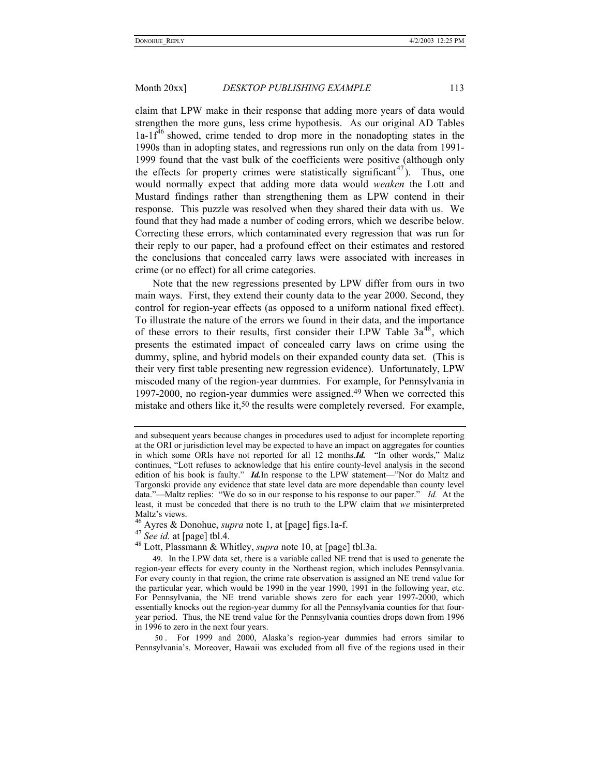<span id="page-12-4"></span>claim that LPW make in their response that adding more years of data would strengthen the more guns, less crime hypothesis. As our original AD Tables  $1a-1f<sup>46</sup>$  showed, crime tended to drop more in the nonadopting states in the 1990s than in adopting states, and regressions run only on the data from 1991- 1999 found that the vast bulk of the coefficients were positive (although only the effects for property crimes were statistically significant<sup>[47](#page-12-1)</sup>). Thus, one would normally expect that adding more data would *weaken* the Lott and Mustard findings rather than strengthening them as LPW contend in their response. This puzzle was resolved when they shared their data with us. We found that they had made a number of coding errors, which we describe below. Correcting these errors, which contaminated every regression that was run for their reply to our paper, had a profound effect on their estimates and restored the conclusions that concealed carry laws were associated with increases in crime (or no effect) for all crime categories.

Note that the new regressions presented by LPW differ from ours in two main ways. First, they extend their county data to the year 2000. Second, they control for region-year effects (as opposed to a uniform national fixed effect). To illustrate the nature of the errors we found in their data, and the importance of these errors to their results, first consider their LPW Table  $3a^{48}$ , which presents the estimated impact of concealed carry laws on crime using the dummy, spline, and hybrid models on their expanded county data set. (This is their very first table presenting new regression evidence). Unfortunately, LPW miscoded many of the region-year dummies. For example, for Pennsylvania in 1997-2000, no region-year dummies were assigned.<sup>49</sup> When we corrected this mistake and others like it,[50 t](#page-12-4)he results were completely reversed. For example,

<span id="page-12-2"></span><span id="page-12-1"></span>

50 . For 1999 and 2000, Alaska's region-year dummies had errors similar to Pennsylvania's. Moreover, Hawaii was excluded from all five of the regions used in their

and subsequent years because changes in procedures used to adjust for incomplete reporting at the ORI or jurisdiction level may be expected to have an impact on aggregates for counties in which some ORIs have not reported for all 12 months.*Id.* "In other words," Maltz continues, "Lott refuses to acknowledge that his entire county-level analysis in the second edition of his book is faulty." *Id.*In response to the LPW statement—"Nor do Maltz and Targonski provide any evidence that state level data are more dependable than county level data."—Maltz replies: "We do so in our response to his response to our paper." *Id.* At the least, it must be conceded that there is no truth to the LPW claim that *we* misinterpreted Maltz's views.<br><sup>46</sup> Ayres & Donohue, *supra* note 1, at [page] figs.1a-f.

<span id="page-12-0"></span>

<sup>&</sup>lt;sup>47</sup> See id. at [page] tbl.4.<br><sup>48</sup> Lott, Plassmann & Whitley, *supra* note 10, at [page] tbl.3a.

<span id="page-12-3"></span><sup>49.</sup> In the LPW data set, there is a variable called NE trend that is used to generate the region-year effects for every county in the Northeast region, which includes Pennsylvania. For every county in that region, the crime rate observation is assigned an NE trend value for the particular year, which would be 1990 in the year 1990, 1991 in the following year, etc. For Pennsylvania, the NE trend variable shows zero for each year 1997-2000, which essentially knocks out the region-year dummy for all the Pennsylvania counties for that fouryear period. Thus, the NE trend value for the Pennsylvania counties drops down from 1996 in 1996 to zero in the next four years.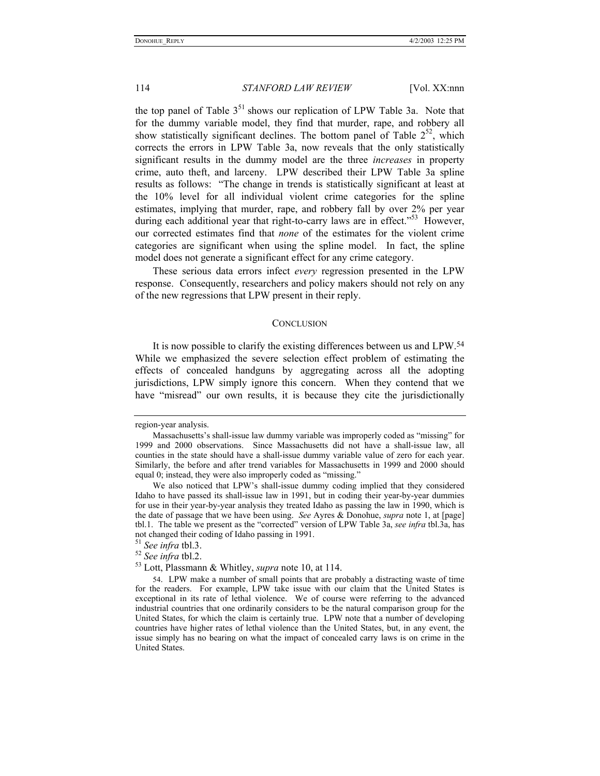the top panel of Table  $3<sup>51</sup>$  shows our replication of LPW Table 3a. Note that for the dummy variable model, they find that murder, rape, and robbery all show statistically significant declines. The bottom panel of Table  $2^{52}$ , which corrects the errors in LPW Table 3a, now reveals that the only statistically significant results in the dummy model are the three *increases* in property crime, auto theft, and larceny. LPW described their LPW Table 3a spline results as follows: "The change in trends is statistically significant at least at the 10% level for all individual violent crime categories for the spline estimates, implying that murder, rape, and robbery fall by over 2% per year during each additional year that right-to-carry laws are in effect."<sup>53</sup> However, our corrected estimates find that *none* of the estimates for the violent crime categories are significant when using the spline model. In fact, the spline model does not generate a significant effect for any crime category.

These serious data errors infect *every* regression presented in the LPW response. Consequently, researchers and policy makers should not rely on any of the new regressions that LPW present in their reply.

#### **CONCLUSION**

It is now possible to clarify the existing differences between us and LPW[.54](#page-13-3) While we emphasized the severe selection effect problem of estimating the effects of concealed handguns by aggregating across all the adopting jurisdictions, LPW simply ignore this concern. When they contend that we have "misread" our own results, it is because they cite the jurisdictionally

region-year analysis.

Massachusetts's shall-issue law dummy variable was improperly coded as "missing" for 1999 and 2000 observations. Since Massachusetts did not have a shall-issue law, all counties in the state should have a shall-issue dummy variable value of zero for each year. Similarly, the before and after trend variables for Massachusetts in 1999 and 2000 should equal 0; instead, they were also improperly coded as "missing."

We also noticed that LPW's shall-issue dummy coding implied that they considered Idaho to have passed its shall-issue law in 1991, but in coding their year-by-year dummies for use in their year-by-year analysis they treated Idaho as passing the law in 1990, which is the date of passage that we have been using. *See* Ayres & Donohue, *supra* note 1, at [page] tbl.1. The table we present as the "corrected" version of LPW Table 3a, *see infra* tbl.3a, has not changed their coding of Idaho passing in 1991.<br><sup>51</sup> See infra tbl.3.

<span id="page-13-0"></span>

<span id="page-13-2"></span><span id="page-13-1"></span>

<sup>51</sup> *See infra* tbl.3. 52 *See infra* tbl.2. 53 Lott, Plassmann & Whitley, *supra* note 10, at 114.

<span id="page-13-3"></span><sup>54.</sup> LPW make a number of small points that are probably a distracting waste of time for the readers. For example, LPW take issue with our claim that the United States is exceptional in its rate of lethal violence. We of course were referring to the advanced industrial countries that one ordinarily considers to be the natural comparison group for the United States, for which the claim is certainly true. LPW note that a number of developing countries have higher rates of lethal violence than the United States, but, in any event, the issue simply has no bearing on what the impact of concealed carry laws is on crime in the United States.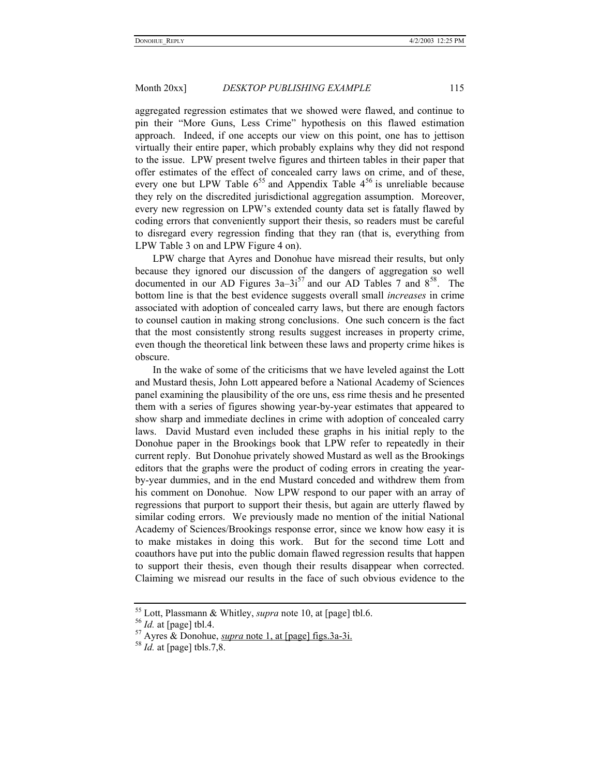aggregated regression estimates that we showed were flawed, and continue to pin their "More Guns, Less Crime" hypothesis on this flawed estimation approach. Indeed, if one accepts our view on this point, one has to jettison virtually their entire paper, which probably explains why they did not respond to the issue. LPW present twelve figures and thirteen tables in their paper that offer estimates of the effect of concealed carry laws on crime, and of these, every one but LPW Table  $6^{55}$  and Appendix Table  $4^{56}$  is unreliable because they rely on the discredited jurisdictional aggregation assumption. Moreover, every new regression on LPW's extended county data set is fatally flawed by coding errors that conveniently support their thesis, so readers must be careful to disregard every regression finding that they ran (that is, everything from LPW Table 3 on and LPW Figure 4 on).

LPW charge that Ayres and Donohue have misread their results, but only because they ignored our discussion of the dangers of aggregation so well documented in our AD Figures  $3a-3i^{57}$  and our AD Tables 7 and  $8^{58}$ . The bottom line is that the best evidence suggests overall small *increases* in crime associated with adoption of concealed carry laws, but there are enough factors to counsel caution in making strong conclusions. One such concern is the fact that the most consistently strong results suggest increases in property crime, even though the theoretical link between these laws and property crime hikes is obscure.

In the wake of some of the criticisms that we have leveled against the Lott and Mustard thesis, John Lott appeared before a National Academy of Sciences panel examining the plausibility of the ore uns, ess rime thesis and he presented them with a series of figures showing year-by-year estimates that appeared to show sharp and immediate declines in crime with adoption of concealed carry laws. David Mustard even included these graphs in his initial reply to the Donohue paper in the Brookings book that LPW refer to repeatedly in their current reply. But Donohue privately showed Mustard as well as the Brookings editors that the graphs were the product of coding errors in creating the yearby-year dummies, and in the end Mustard conceded and withdrew them from his comment on Donohue. Now LPW respond to our paper with an array of regressions that purport to support their thesis, but again are utterly flawed by similar coding errors. We previously made no mention of the initial National Academy of Sciences/Brookings response error, since we know how easy it is to make mistakes in doing this work. But for the second time Lott and coauthors have put into the public domain flawed regression results that happen to support their thesis, even though their results disappear when corrected. Claiming we misread our results in the face of such obvious evidence to the

<span id="page-14-0"></span>

<span id="page-14-2"></span><span id="page-14-1"></span>

<sup>55</sup> Lott, Plassmann & Whitley, *supra* note 10, at [page] tbl.6. 56 *Id.* at [page] tbl.4. 57 Ayres & Donohue, *supra* note 1, at [page] figs.3a-3i. <sup>58</sup> *Id.* at [page] tbls.7,8.

<span id="page-14-3"></span>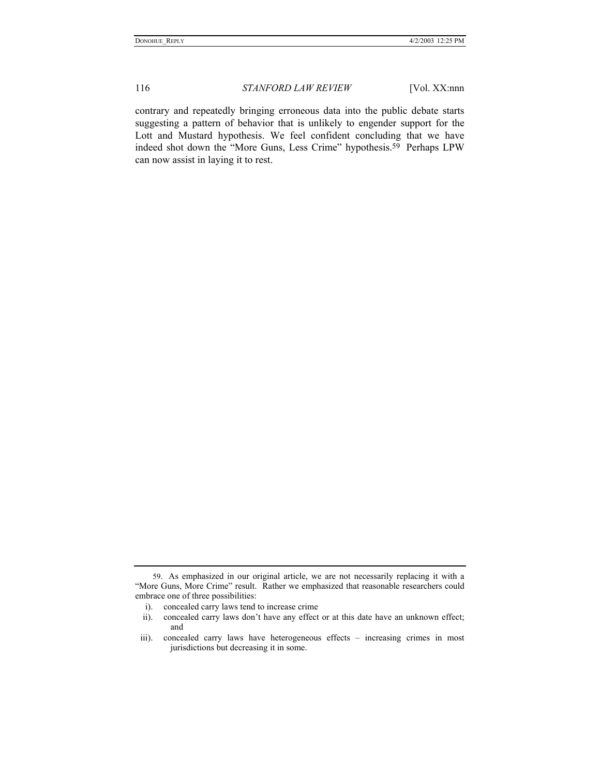contrary and repeatedly bringing erroneous data into the public debate starts suggesting a pattern of behavior that is unlikely to engender support for the Lott and Mustard hypothesis. We feel confident concluding that we have indeed shot down the "More Guns, Less Crime" hypothesis.[59](#page-15-0) Perhaps LPW can now assist in laying it to rest.

<span id="page-15-0"></span><sup>59.</sup> As emphasized in our original article, we are not necessarily replacing it with a "More Guns, More Crime" result. Rather we emphasized that reasonable researchers could embrace one of three possibilities:

i). concealed carry laws tend to increase crime

ii). concealed carry laws don't have any effect or at this date have an unknown effect; and

iii). concealed carry laws have heterogeneous effects – increasing crimes in most jurisdictions but decreasing it in some.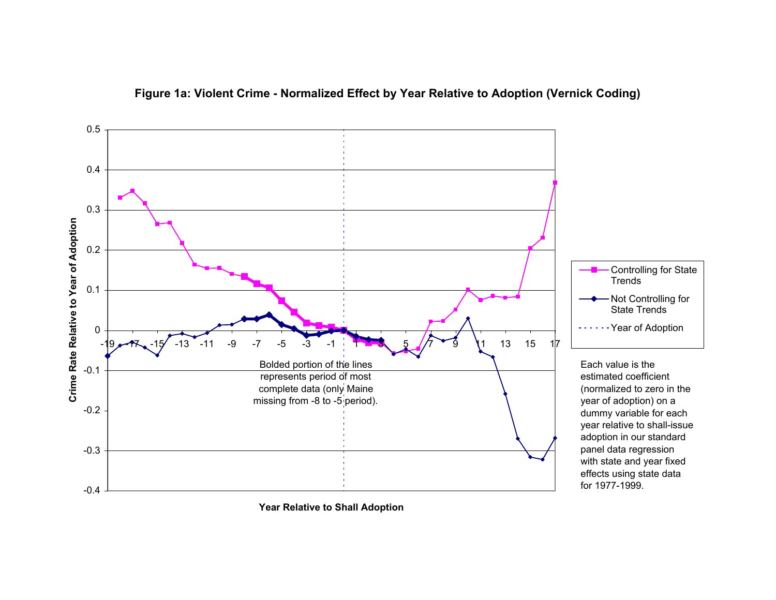

# **Figure 1a: Violent Crime - Normalized Effect by Year Relative to Adoption (Vernick Coding)**

**Year Relative to Shall Adoption**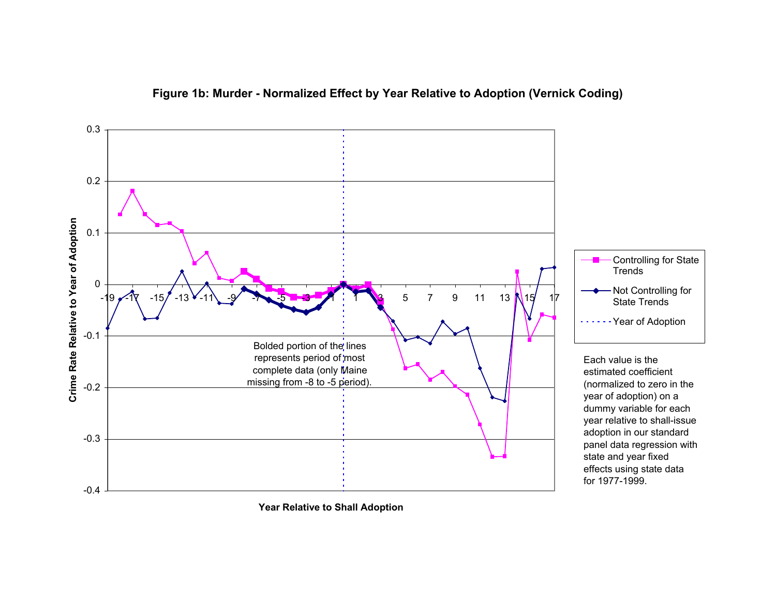



**Year Relative to Shall Adoption**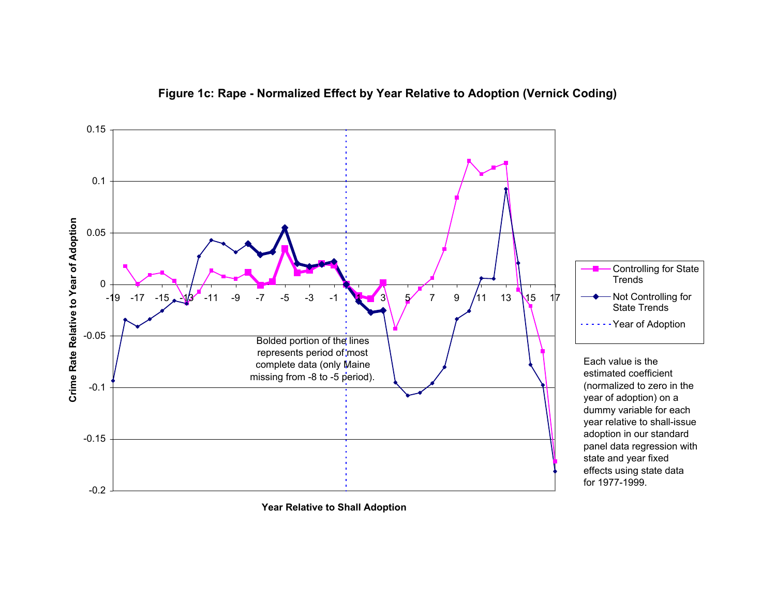![](_page_18_Figure_0.jpeg)

**Figure 1c: Rape - Normalized Effect by Year Relative to Adoption (Vernick Coding)**

**Year Relative to Shall Adoption**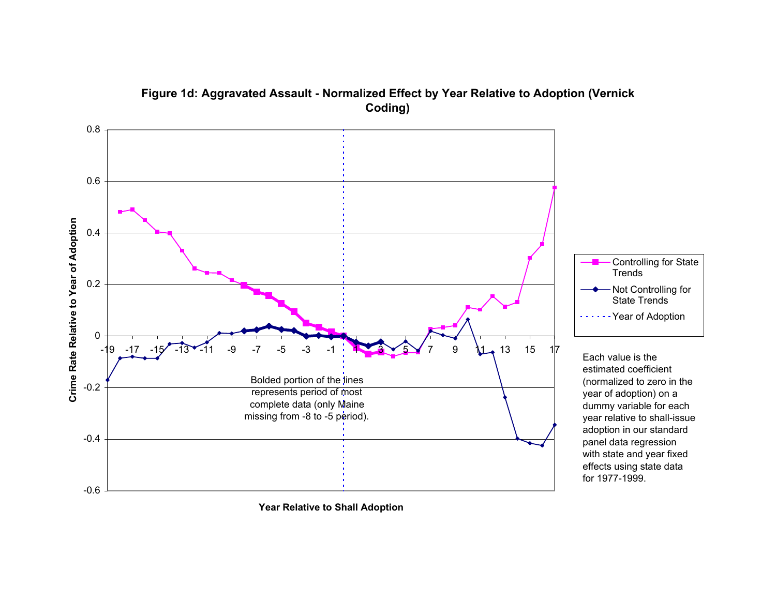![](_page_19_Figure_0.jpeg)

# **Figure 1d: Aggravated Assault - Normalized Effect by Year Relative to Adoption (Vernick Coding)**

**Year Relative to Shall Adoption**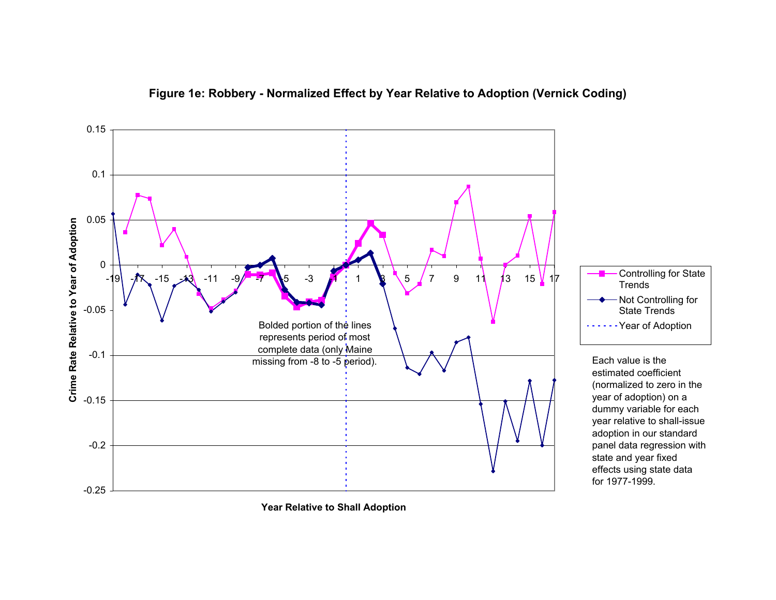![](_page_20_Figure_0.jpeg)

# **Figure 1e: Robbery - Normalized Effect by Year Relative to Adoption (Vernick Coding)**

**Year Relative to Shall Adoption**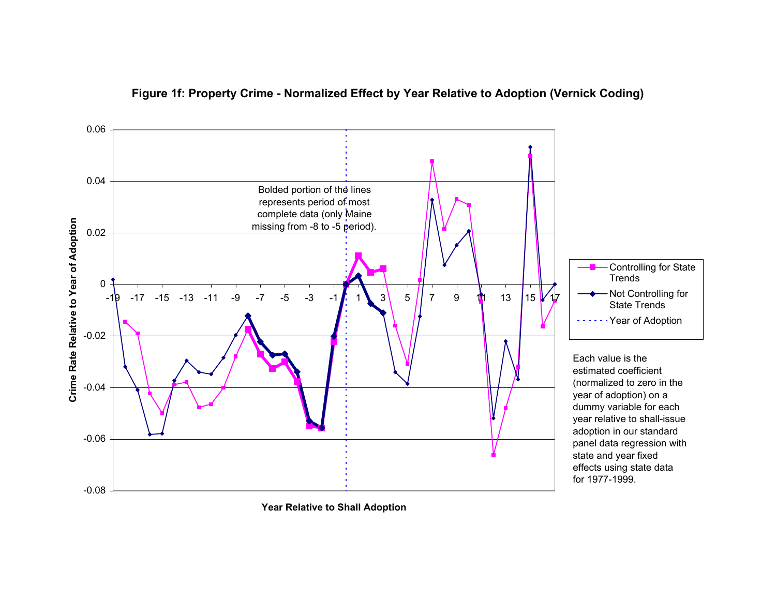![](_page_21_Figure_0.jpeg)

# **Figure 1f: Property Crime - Normalized Effect by Year Relative to Adoption (Vernick Coding)**

**Year Relative to Shall Adoption**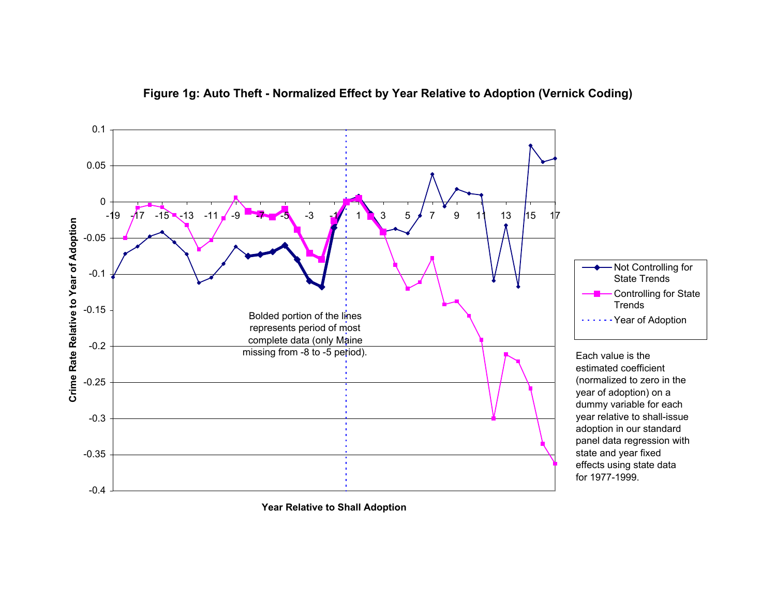![](_page_22_Figure_0.jpeg)

# **Figure 1g: Auto Theft - Normalized Effect by Year Relative to Adoption (Vernick Coding)**

**Year Relative to Shall Adoption**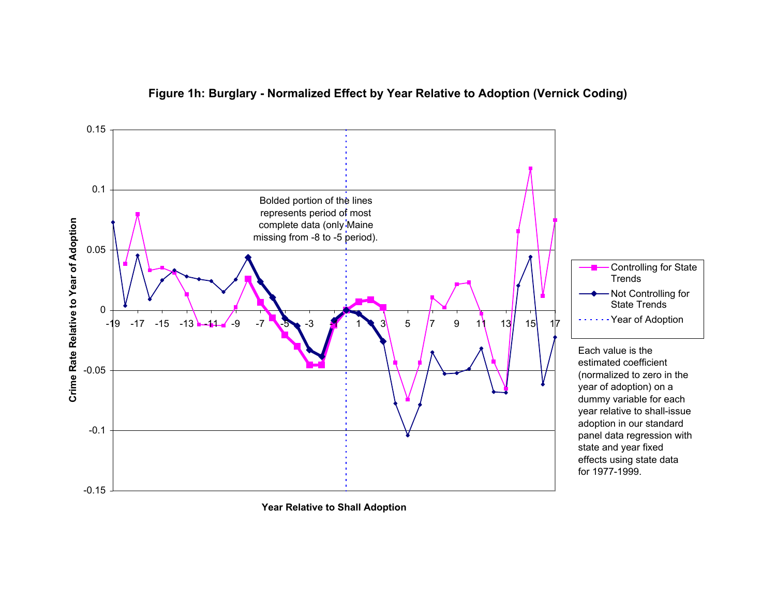![](_page_23_Figure_0.jpeg)

![](_page_23_Figure_1.jpeg)

**Year Relative to Shall Adoption**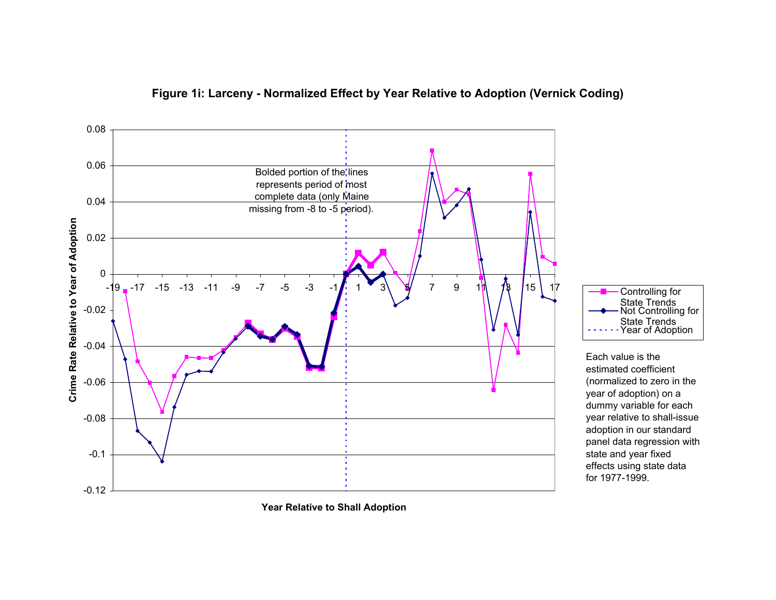![](_page_24_Figure_0.jpeg)

# **Figure 1i: Larceny - Normalized Effect by Year Relative to Adoption (Vernick Coding)**

**Year Relative to Shall Adoption**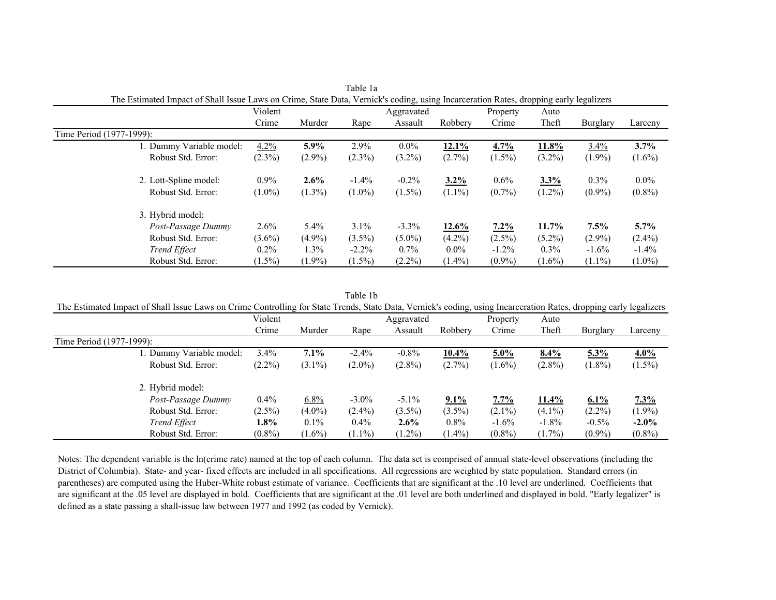|                          | Violent   |           |           | Aggravated |           | Property  | Auto      |           |           |
|--------------------------|-----------|-----------|-----------|------------|-----------|-----------|-----------|-----------|-----------|
|                          | Crime     | Murder    | Rape      | Assault    | Robbery   | Crime     | Theft     | Burglary  | Larceny   |
| Time Period (1977-1999): |           |           |           |            |           |           |           |           |           |
| 1. Dummy Variable model: | 4.2%      | $5.9\%$   | 2.9%      | $0.0\%$    | $12.1\%$  | $4.7\%$   | 11.8%     | $3.4\%$   | 3.7%      |
| Robust Std. Error:       | $(2.3\%)$ | $(2.9\%)$ | $(2.3\%)$ | $(3.2\%)$  | $(2.7\%)$ | $(1.5\%)$ | $(3.2\%)$ | $(1.9\%)$ | $(1.6\%)$ |
| 2. Lott-Spline model:    | $0.9\%$   | 2.6%      | $-1.4\%$  | $-0.2\%$   | $3.2\%$   | $0.6\%$   | 3.3%      | $0.3\%$   | $0.0\%$   |
| Robust Std. Error:       | $(1.0\%)$ | $(1.3\%)$ | $(1.0\%)$ | $(1.5\%)$  | $(1.1\%)$ | $(0.7\%)$ | $(1.2\%)$ | $(0.9\%)$ | $(0.8\%)$ |
| 3. Hybrid model:         |           |           |           |            |           |           |           |           |           |
| Post-Passage Dummy       | 2.6%      | $5.4\%$   | 3.1%      | $-3.3\%$   | 12.6%     | $7.2\%$   | 11.7%     | 7.5%      | $5.7\%$   |
| Robust Std. Error:       | $(3.6\%)$ | $(4.9\%)$ | $(3.5\%)$ | $(5.0\%)$  | $(4.2\%)$ | $(2.5\%)$ | $(5.2\%)$ | $(2.9\%)$ | $(2.4\%)$ |
| Trend Effect             | $0.2\%$   | $1.3\%$   | $-2.2\%$  | $0.7\%$    | $0.0\%$   | $-1.2\%$  | $0.3\%$   | $-1.6\%$  | $-1.4\%$  |
| Robust Std. Error:       | $(1.5\%)$ | $(1.9\%)$ | $(1.5\%)$ | $(2.2\%)$  | $(1.4\%)$ | $(0.9\%)$ | $(1.6\%)$ | $(1.1\%)$ | $(1.0\%)$ |

| Table 1a                                                                                                                              |  |
|---------------------------------------------------------------------------------------------------------------------------------------|--|
| The Estimated Impact of Shall Issue Laws on Crime, State Data, Vernick's coding, using Incarceration Rates, dropping early legalizers |  |

Table 1b

|                          | Violent   |           |           | Aggravated |           | Property  | Auto      |                 |           |
|--------------------------|-----------|-----------|-----------|------------|-----------|-----------|-----------|-----------------|-----------|
|                          | Crime     | Murder    | Rape      | Assault    | Robbery   | Crime     | Theft     | <b>Burglary</b> | Larceny   |
| Time Period (1977-1999): |           |           |           |            |           |           |           |                 |           |
| . Dummy Variable model:  | $3.4\%$   | $7.1\%$   | $-2.4\%$  | $-0.8\%$   | $10.4\%$  | $5.0\%$   | 8.4%      | 5.3%            | 4.0%      |
| Robust Std. Error:       | $(2.2\%)$ | $(3.1\%)$ | $(2.0\%)$ | $(2.8\%)$  | $(2.7\%)$ | $(1.6\%)$ | $(2.8\%)$ | $(1.8\%)$       | $(1.5\%)$ |
| 2. Hybrid model:         |           |           |           |            |           |           |           |                 |           |
| Post-Passage Dummy       | $0.4\%$   | $6.8\%$   | $-3.0\%$  | $-5.1\%$   | 9.1%      | $7.7\%$   | 11.4%     | 6.1%            | $7.3\%$   |
| Robust Std. Error:       | $(2.5\%)$ | $(4.0\%)$ | $(2.4\%)$ | $(3.5\%)$  | $(3.5\%)$ | $(2.1\%)$ | $(4.1\%)$ | $(2.2\%)$       | $(1.9\%)$ |
| Trend Effect             | 1.8%      | $0.1\%$   | $0.4\%$   | $2.6\%$    | $0.8\%$   | $-1.6%$   | $-1.8\%$  | $-0.5\%$        | $-2.0\%$  |
| Robust Std. Error:       | $(0.8\%)$ | $(1.6\%)$ | $(1.1\%)$ | $(1.2\%)$  | $(1.4\%)$ | $(0.8\%)$ | $(1.7\%)$ | $(0.9\%)$       | $(0.8\%)$ |

Notes: The dependent variable is the ln(crime rate) named at the top of each column. The data set is comprised of annual state-level observations (including the District of Columbia). State- and year- fixed effects are included in all specifications. All regressions are weighted by state population. Standard errors (in parentheses) are computed using the Huber-White robust estimate of variance. Coefficients that are significant at the .10 level are underlined. Coefficients that are significant at the .05 level are displayed in bold. Coefficients that are significant at the .01 level are both underlined and displayed in bold. "Early legalizer" is defined as a state passing a shall-issue law between 1977 and 1992 (as coded by Vernick).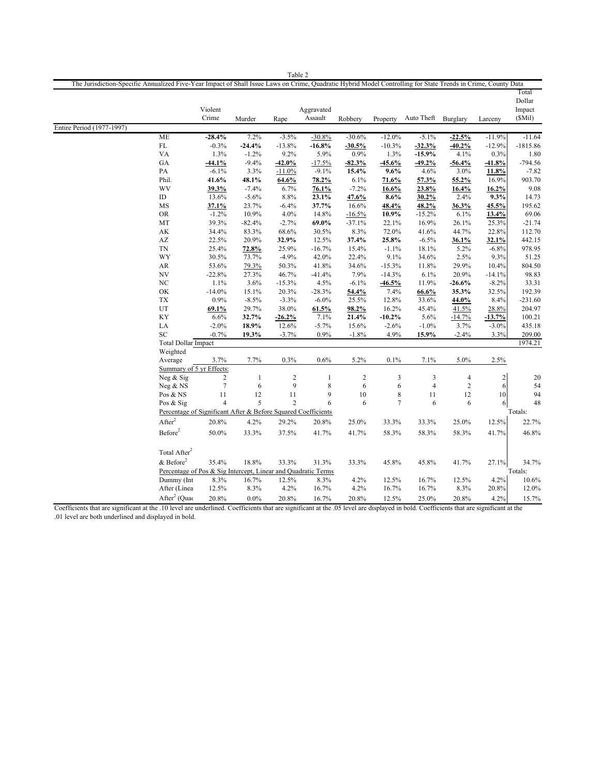|                                                                                                                                                               |                                                               |                  |              | Table 2        |             |            |                |                |                |            |            |
|---------------------------------------------------------------------------------------------------------------------------------------------------------------|---------------------------------------------------------------|------------------|--------------|----------------|-------------|------------|----------------|----------------|----------------|------------|------------|
| The Jurisdiction-Specific Annualized Five-Year Impact of Shall Issue Laws on Crime, Quadratic Hybrid Model Controlling for State Trends in Crime, County Data |                                                               |                  |              |                |             |            |                |                |                |            | Total      |
|                                                                                                                                                               |                                                               |                  |              |                |             |            |                |                |                |            | Dollar     |
|                                                                                                                                                               |                                                               | Violent          |              |                | Aggravated  |            |                |                |                |            | Impact     |
|                                                                                                                                                               |                                                               | Crime            | Murder       | Rape           | Assault     | Robbery    | Property       | Auto Theft     | Burglary       | Larceny    | (SMil)     |
| <b>Entire Period (1977-1997)</b>                                                                                                                              |                                                               |                  |              |                |             |            |                |                |                |            |            |
|                                                                                                                                                               | ME                                                            | $-28.4%$         | 7.2%         | $-3.5%$        | $-30.8%$    | $-30.6%$   | $-12.0%$       | $-5.1%$        | $-22.5%$       | $-11.9%$   | $-11.64$   |
|                                                                                                                                                               | FL                                                            | $-0.3%$          | $-24.4%$     | $-13.8%$       | $-16.8%$    | $-30.5%$   | $-10.3%$       | $-32.3%$       | $-40.2%$       | $-12.9%$   | $-1815.86$ |
|                                                                                                                                                               | VA                                                            | 1.3%             | $-1.2%$      | 9.2%           | 5.9%        | 0.9%       | 1.3%           | $-15.9%$       | 4.1%           | 0.3%       | 1.80       |
|                                                                                                                                                               | GA                                                            | $-44.1%$         | $-9.4%$      | $-42.0%$       | $-17.5%$    | $-82.3%$   | $-45.6%$       | $-49.2%$       | $-56.4%$       | $-41.8%$   | $-794.56$  |
|                                                                                                                                                               | PA                                                            | $-6.1%$          | 3.3%         | $-11.0%$       | $-9.1%$     | 15.4%      | 9.6%           | 4.6%           | 3.0%           | 11.8%      | $-7.82$    |
|                                                                                                                                                               | Phil.                                                         | 41.6%            | 48.1%        | 64.6%          | 78.2%       | 6.1%       | 71.6%          | 57.3%          | 55.2%          | 16.9%      | 903.70     |
|                                                                                                                                                               | WV                                                            | 39.3%            | $-7.4%$      | 6.7%           | 76.1%       | $-7.2%$    | 16.6%          | 23.8%          | 16.4%          | 16.2%      | 9.08       |
|                                                                                                                                                               | $\mathop{\rm ID}$                                             | 13.6%            | $-5.6%$      | 8.8%           | 23.1%       | 47.6%      | 8.6%           | 30.2%          | 2.4%           | 9.3%       | 14.73      |
|                                                                                                                                                               | MS                                                            | 37.1%            | 23.7%        | $-6.4%$        | 37.7%       | 16.6%      | 48.4%          | 48.2%          | 36.3%          | 45.5%      | 195.62     |
|                                                                                                                                                               | <b>OR</b>                                                     | $-1.2%$          | 10.9%        | 4.0%           | 14.8%       | $-16.5%$   | 10.9%          | $-15.2%$       | 6.1%           | 13.4%      | 69.06      |
|                                                                                                                                                               | MT                                                            | 39.3%            | $-82.4%$     | $-2.7%$        | 69.0%       | $-37.1%$   | 22.1%          | 16.9%          | 26.1%          | 25.3%      | $-21.74$   |
|                                                                                                                                                               | AK                                                            | 34.4%            | 83.3%        | 68.6%          | 30.5%       | 8.3%       | 72.0%          | 41.6%          | 44.7%          | 22.8%      | 112.70     |
|                                                                                                                                                               | AZ                                                            | 22.5%            | 20.9%        | 32.9%          | 12.5%       | 37.4%      | 25.8%          | $-6.5%$        | 36.1%          | 32.1%      | 442.15     |
|                                                                                                                                                               | <b>TN</b>                                                     | 25.4%            | 72.8%        | 25.9%          | $-16.7%$    | 15.4%      | $-1.1%$        | 18.1%          | 5.2%           | $-6.8%$    | 978.95     |
|                                                                                                                                                               | WY                                                            | 30.5%            | 73.7%        | $-4.9%$        | 42.0%       | 22.4%      | 9.1%           | 34.6%          | 2.5%           | 9.3%       | 51.25      |
|                                                                                                                                                               | AR                                                            | 53.6%            | 79.3%        | 50.3%          | 41.8%       | 34.6%      | $-15.3%$       | 11.8%          | 29.9%          | 10.4%      | 804.50     |
|                                                                                                                                                               | NV                                                            | $-22.8%$         | 27.3%        | 46.7%          | $-41.4%$    | 7.9%       | $-14.3%$       | 6.1%           | 20.9%          | $-14.1%$   | 98.83      |
|                                                                                                                                                               | NC                                                            | 1.1%             | 3.6%         | $-15.3%$       | 4.5%        | $-6.1%$    | $-46.5\%$      | 11.9%          | $-26.6%$       | $-8.2%$    | 33.31      |
|                                                                                                                                                               | OK                                                            | $-14.0%$         | 15.1%        | 20.3%          | $-28.3%$    | 54.4%      | 7.4%           | 66.6%          | 35.3%          | 32.5%      | 192.39     |
|                                                                                                                                                               | TX                                                            | 0.9%             | $-8.5%$      | $-3.3%$        | $-6.0\%$    | 25.5%      | 12.8%          | 33.6%          | 44.0%          | 8.4%       | $-231.60$  |
|                                                                                                                                                               | UT                                                            | 69.1%            | 29.7%        | 38.0%          | 61.5%       | 98.2%      | 16.2%          | 45.4%          | 41.5%          | 28.8%      | 204.97     |
|                                                                                                                                                               | KY                                                            | 6.6%             | 32.7%        | $-26.2%$       | 7.1%        | 21.4%      | $-10.2\%$      | 5.6%           | $-14.7%$       | $-13.7%$   | 100.21     |
|                                                                                                                                                               | LA                                                            | $-2.0%$          | 18.9%        | 12.6%          | $-5.7%$     | 15.6%      | $-2.6%$        | $-1.0%$        | 3.7%           | $-3.0\%$   | 435.18     |
|                                                                                                                                                               | SC                                                            | $-0.7%$          | 19.3%        | $-3.7%$        | 0.9%        | $-1.8%$    | 4.9%           | 15.9%          | $-2.4%$        | 3.3%       | 209.00     |
|                                                                                                                                                               | <b>Total Dollar Impact</b>                                    |                  |              |                |             |            |                |                |                |            | 1974.21    |
|                                                                                                                                                               | Weighted                                                      |                  |              |                |             |            |                |                |                |            |            |
|                                                                                                                                                               | Average                                                       | 3.7%             | 7.7%         | 0.3%           | 0.6%        | 5.2%       | 0.1%           | 7.1%           | 5.0%           | 2.5%       |            |
|                                                                                                                                                               | Summary of 5 yr Effects:                                      |                  |              |                |             |            |                |                |                |            |            |
|                                                                                                                                                               | Neg & Sig                                                     | $\overline{c}$   | $\mathbf{1}$ | $\mathbf{2}$   | 1           | $\sqrt{2}$ | 3              | 3              | 4              | $\sqrt{2}$ | 20         |
|                                                                                                                                                               | Neg & NS                                                      | $\boldsymbol{7}$ | 6            | 9              | $\,$ 8 $\,$ | 6          | 6              | $\overline{4}$ | $\overline{c}$ | 6          | 54         |
|                                                                                                                                                               | Pos & NS                                                      | 11               | 12           | 11             | 9           | 10         | 8              | 11             | 12             | 10         | 94         |
|                                                                                                                                                               | Pos & Sig                                                     | $\overline{4}$   | 5            | $\overline{2}$ | 6           | 6          | $\overline{7}$ | 6              | 6              | 6          | 48         |
|                                                                                                                                                               | Percentage of Significant After & Before Squared Coefficients |                  |              |                |             |            |                |                |                |            | Totals:    |
|                                                                                                                                                               | After $2$                                                     |                  |              |                |             |            |                |                |                |            |            |
|                                                                                                                                                               |                                                               | 20.8%            | 4.2%         | 29.2%          | 20.8%       | 25.0%      | 33.3%          | 33.3%          | 25.0%          | 12.5%      | 22.7%      |
|                                                                                                                                                               | Before <sup>2</sup>                                           | 50.0%            | 33.3%        | 37.5%          | 41.7%       | 41.7%      | 58.3%          | 58.3%          | 58.3%          | 41.7%      | 46.8%      |
|                                                                                                                                                               | Total After <sup>2</sup>                                      |                  |              |                |             |            |                |                |                |            |            |
|                                                                                                                                                               | $&$ Before <sup>2</sup>                                       | 35.4%            | 18.8%        | 33.3%          | 31.3%       | 33.3%      | 45.8%          | 45.8%          | 41.7%          | 27.1%      | 34.7%      |
|                                                                                                                                                               | Percentage of Pos & Sig Intercept, Linear and Quadratic Terms |                  |              |                |             |            |                |                |                |            | Totals:    |
|                                                                                                                                                               | Dummy (Int                                                    | 8.3%             | 16.7%        | 12.5%          | 8.3%        | 4.2%       | 12.5%          | 16.7%          | 12.5%          | 4.2%       | 10.6%      |
|                                                                                                                                                               | After (Linea                                                  | 12.5%            | 8.3%         | 4.2%           | 16.7%       | 4.2%       | 16.7%          | 16.7%          | 8.3%           | 20.8%      | 12.0%      |
|                                                                                                                                                               | After <sup>2</sup> (Quao                                      | 20.8%            | $0.0\%$      | 20.8%          | 16.7%       | 20.8%      | 12.5%          | 25.0%          | 20.8%          | 4.2%       | 15.7%      |

Coefficients that are significant at the .10 level are underlined. Coefficients that are significant at the .05 level are displayed in bold. Coefficients that are significant at the .01 level are both underlined and displayed in bold.